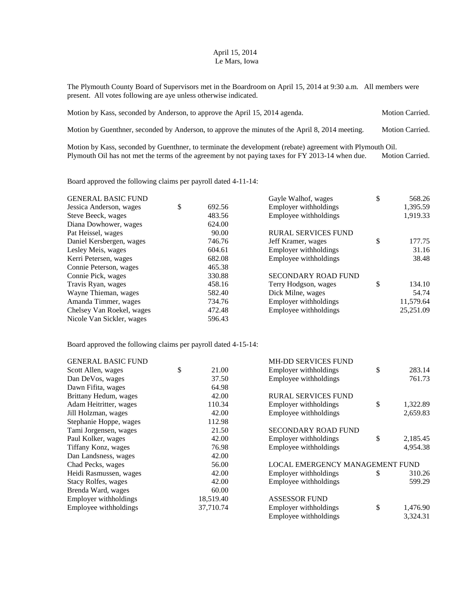## April 15, 2014 Le Mars, Iowa

The Plymouth County Board of Supervisors met in the Boardroom on April 15, 2014 at 9:30 a.m. All members were present. All votes following are aye unless otherwise indicated.

| Motion by Kass, seconded by Anderson, to approve the April 15, 2014 agenda.                     | <b>Motion Carried.</b> |
|-------------------------------------------------------------------------------------------------|------------------------|
| Motion by Guenthner, seconded by Anderson, to approve the minutes of the April 8, 2014 meeting. | <b>Motion Carried.</b> |

Motion by Kass, seconded by Guenthner, to terminate the development (rebate) agreement with Plymouth Oil. Plymouth Oil has not met the terms of the agreement by not paying taxes for FY 2013-14 when due. Motion Carried.

Board approved the following claims per payroll dated 4-11-14:

| <b>GENERAL BASIC FUND</b> |              | Gayle Walhof, wages        | \$<br>568.26 |
|---------------------------|--------------|----------------------------|--------------|
| Jessica Anderson, wages   | \$<br>692.56 | Employer withholdings      | 1,395.59     |
| Steve Beeck, wages        | 483.56       | Employee withholdings      | 1,919.33     |
| Diana Dowhower, wages     | 624.00       |                            |              |
| Pat Heissel, wages        | 90.00        | <b>RURAL SERVICES FUND</b> |              |
| Daniel Kersbergen, wages  | 746.76       | Jeff Kramer, wages         | \$<br>177.75 |
| Lesley Meis, wages        | 604.61       | Employer withholdings      | 31.16        |
| Kerri Petersen, wages     | 682.08       | Employee withholdings      | 38.48        |
| Connie Peterson, wages    | 465.38       |                            |              |
| Connie Pick, wages        | 330.88       | <b>SECONDARY ROAD FUND</b> |              |
| Travis Ryan, wages        | 458.16       | Terry Hodgson, wages       | \$<br>134.10 |
| Wayne Thieman, wages      | 582.40       | Dick Milne, wages          | 54.74        |
| Amanda Timmer, wages      | 734.76       | Employer withholdings      | 11,579.64    |
| Chelsey Van Roekel, wages | 472.48       | Employee withholdings      | 25,251.09    |
| Nicole Van Sickler, wages | 596.43       |                            |              |

Board approved the following claims per payroll dated 4-15-14:

| <b>GENERAL BASIC FUND</b> |             | <b>MH-DD SERVICES FUND</b>      |                |
|---------------------------|-------------|---------------------------------|----------------|
| Scott Allen, wages        | \$<br>21.00 | Employer withholdings           | \$<br>283.14   |
| Dan DeVos, wages          | 37.50       | Employee withholdings           | 761.73         |
| Dawn Fifita, wages        | 64.98       |                                 |                |
| Brittany Hedum, wages     | 42.00       | RURAL SERVICES FUND             |                |
| Adam Heitritter, wages    | 110.34      | Employer withholdings           | \$<br>1,322.89 |
| Jill Holzman, wages       | 42.00       | Employee withholdings           | 2,659.83       |
| Stephanie Hoppe, wages    | 112.98      |                                 |                |
| Tami Jorgensen, wages     | 21.50       | <b>SECONDARY ROAD FUND</b>      |                |
| Paul Kolker, wages        | 42.00       | Employer withholdings           | \$<br>2,185.45 |
| Tiffany Konz, wages       | 76.98       | Employee withholdings           | 4,954.38       |
| Dan Landsness, wages      | 42.00       |                                 |                |
| Chad Pecks, wages         | 56.00       | LOCAL EMERGENCY MANAGEMENT FUND |                |
| Heidi Rasmussen, wages    | 42.00       | Employer withholdings           | \$<br>310.26   |
| Stacy Rolfes, wages       | 42.00       | Employee withholdings           | 599.29         |
| Brenda Ward, wages        | 60.00       |                                 |                |
| Employer withholdings     | 18,519.40   | <b>ASSESSOR FUND</b>            |                |
| Employee withholdings     | 37,710.74   | Employer withholdings           | \$<br>1,476.90 |
|                           |             | Employee withholdings           | 3,324.31       |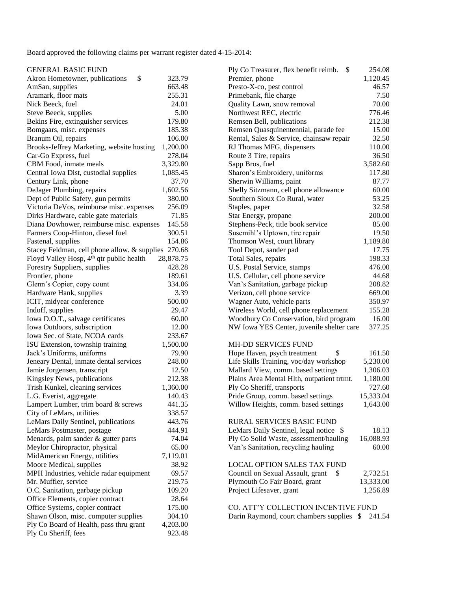Board approved the following claims per warrant register dated 4-15-2014:

| GENERAL BASIC FUND |  |  |  |
|--------------------|--|--|--|
|                    |  |  |  |
|                    |  |  |  |

| \$<br>Akron Hometowner, publications                 | 323.79    | Premier, phone                             | 1,120.45  |
|------------------------------------------------------|-----------|--------------------------------------------|-----------|
| AmSan, supplies                                      | 663.48    | Presto-X-co, pest control                  | 46.57     |
| Aramark, floor mats                                  | 255.31    | Primebank, file charge                     | 7.50      |
| Nick Beeck, fuel                                     | 24.01     | Quality Lawn, snow removal                 | 70.00     |
| Steve Beeck, supplies                                | 5.00      | Northwest REC, electric                    | 776.46    |
| Bekins Fire, extinguisher services                   | 179.80    | Remsen Bell, publications                  | 212.38    |
| Bomgaars, misc. expenses                             | 185.38    | Remsen Quasquinentennial, parade fee       | 15.00     |
| Branum Oil, repairs                                  | 106.00    | Rental, Sales & Service, chainsaw repair   | 32.50     |
| Brooks-Jeffrey Marketing, website hosting            | 1,200.00  | RJ Thomas MFG, dispensers                  | 110.00    |
| Car-Go Express, fuel                                 | 278.04    | Route 3 Tire, repairs                      | 36.50     |
| CBM Food, inmate meals                               | 3,329.80  | Sapp Bros, fuel                            | 3,582.60  |
| Central Iowa Dist, custodial supplies                | 1,085.45  | Sharon's Embroidery, uniforms              | 117.80    |
| Century Link, phone                                  | 37.70     | Sherwin Williams, paint                    | 87.77     |
| DeJager Plumbing, repairs                            | 1,602.56  | Shelly Sitzmann, cell phone allowance      | 60.00     |
| Dept of Public Safety, gun permits                   | 380.00    | Southern Sioux Co Rural, water             | 53.25     |
| Victoria DeVos, reimburse misc. expenses             | 256.09    | Staples, paper                             | 32.58     |
| Dirks Hardware, cable gate materials                 | 71.85     | Star Energy, propane                       | 200.00    |
| Diana Dowhower, reimburse misc. expenses             | 145.58    | Stephens-Peck, title book service          | 85.00     |
| Farmers Coop-Hinton, diesel fuel                     | 300.51    | Susemihl's Uptown, tire repair             | 19.50     |
| Fastenal, supplies                                   | 154.86    | Thomson West, court library                | 1,189.80  |
| Stacey Feldman, cell phone allow. & supplies 270.68  |           | Tool Depot, sander pad                     | 17.75     |
| Floyd Valley Hosp, 4 <sup>th</sup> qtr public health | 28,878.75 | Total Sales, repairs                       | 198.33    |
| Forestry Suppliers, supplies                         | 428.28    | U.S. Postal Service, stamps                | 476.00    |
| Frontier, phone                                      | 189.61    | U.S. Cellular, cell phone service          | 44.68     |
| Glenn's Copier, copy count                           | 334.06    | Van's Sanitation, garbage pickup           | 208.82    |
| Hardware Hank, supplies                              | 3.39      | Verizon, cell phone service                | 669.00    |
| ICIT, midyear conference                             | 500.00    | Wagner Auto, vehicle parts                 | 350.97    |
| Indoff, supplies                                     | 29.47     | Wireless World, cell phone replacement     | 155.28    |
| Iowa D.O.T., salvage certificates                    | 60.00     | Woodbury Co Conservation, bird program     | 16.00     |
| Iowa Outdoors, subscription                          | 12.00     | NW Iowa YES Center, juvenile shelter care  | 377.25    |
| Iowa Sec. of State, NCOA cards                       | 233.67    |                                            |           |
| ISU Extension, township training                     | 1,500.00  | MH-DD SERVICES FUND                        |           |
| Jack's Uniforms, uniforms                            | 79.90     | Hope Haven, psych treatment<br>\$          | 161.50    |
| Jeneary Dental, inmate dental services               | 248.00    | Life Skills Training, voc/day workshop     | 5,230.00  |
| Jamie Jorgensen, transcript                          | 12.50     | Mallard View, comm. based settings         | 1,306.03  |
| Kingsley News, publications                          | 212.38    | Plains Area Mental Hlth, outpatient trtmt. | 1,180.00  |
| Trish Kunkel, cleaning services                      | 1,360.00  | Ply Co Sheriff, transports                 | 727.60    |
| L.G. Everist, aggregate                              | 140.43    | Pride Group, comm. based settings          | 15,333.04 |
| Lampert Lumber, trim board & screws                  | 441.35    | Willow Heights, comm. based settings       | 1,643.00  |
| City of LeMars, utilities                            | 338.57    |                                            |           |
| LeMars Daily Sentinel, publications                  | 443.76    | RURAL SERVICES BASIC FUND                  |           |
| LeMars Postmaster, postage                           | 444.91    | LeMars Daily Sentinel, legal notice \$     | 18.13     |
| Menards, palm sander & gutter parts                  | 74.04     | Ply Co Solid Waste, assessment/hauling     | 16,088.93 |
| Meylor Chiropractor, physical                        | 65.00     | Van's Sanitation, recycling hauling        | 60.00     |
| MidAmerican Energy, utilities                        | 7,119.01  |                                            |           |
| Moore Medical, supplies                              | 38.92     | <b>LOCAL OPTION SALES TAX FUND</b>         |           |
| MPH Industries, vehicle radar equipment              | 69.57     | Council on Sexual Assault, grant<br>\$     | 2,732.51  |
| Mr. Muffler, service                                 | 219.75    | Plymouth Co Fair Board, grant              | 13,333.00 |
| O.C. Sanitation, garbage pickup                      | 109.20    | Project Lifesaver, grant                   | 1,256.89  |
| Office Elements, copier contract                     | 28.64     |                                            |           |
| Office Systems, copier contract                      | 175.00    | CO. ATT'Y COLLECTION INCENTIVE FUND        |           |
| Shawn Olson, misc. computer supplies                 | 304.10    | Darin Raymond, court chambers supplies \$  | 241.54    |
| Ply Co Board of Health, pass thru grant              | 4,203.00  |                                            |           |
| Ply Co Sheriff, fees                                 | 923.48    |                                            |           |
|                                                      |           |                                            |           |

| <b>GENERAL BASIC FUND</b>                            |           | Ply Co Treasurer, flex benefit reimb. \$   | 254.08    |
|------------------------------------------------------|-----------|--------------------------------------------|-----------|
| \$<br>Akron Hometowner, publications                 | 323.79    | Premier, phone                             | 1,120.45  |
| AmSan, supplies                                      | 663.48    | Presto-X-co, pest control                  | 46.57     |
| Aramark, floor mats                                  | 255.31    | Primebank, file charge                     | 7.50      |
| Nick Beeck, fuel                                     | 24.01     | Quality Lawn, snow removal                 | 70.00     |
| Steve Beeck, supplies                                | 5.00      | Northwest REC, electric                    | 776.46    |
| Bekins Fire, extinguisher services                   | 179.80    | Remsen Bell, publications                  | 212.38    |
| Bomgaars, misc. expenses                             | 185.38    | Remsen Quasquinentennial, parade fee       | 15.00     |
| Branum Oil, repairs                                  | 106.00    | Rental, Sales & Service, chainsaw repair   | 32.50     |
| Brooks-Jeffrey Marketing, website hosting            | 1,200.00  | RJ Thomas MFG, dispensers                  | 110.00    |
| Car-Go Express, fuel                                 | 278.04    | Route 3 Tire, repairs                      | 36.50     |
| CBM Food, inmate meals                               | 3,329.80  | Sapp Bros, fuel                            | 3,582.60  |
| Central Iowa Dist, custodial supplies                | 1,085.45  | Sharon's Embroidery, uniforms              | 117.80    |
| Century Link, phone                                  | 37.70     | Sherwin Williams, paint                    | 87.77     |
| DeJager Plumbing, repairs                            | 1,602.56  | Shelly Sitzmann, cell phone allowance      | 60.00     |
| Dept of Public Safety, gun permits                   | 380.00    | Southern Sioux Co Rural, water             | 53.25     |
| Victoria DeVos, reimburse misc. expenses             | 256.09    | Staples, paper                             | 32.58     |
| Dirks Hardware, cable gate materials                 | 71.85     | Star Energy, propane                       | 200.00    |
| Diana Dowhower, reimburse misc. expenses             | 145.58    | Stephens-Peck, title book service          | 85.00     |
| Farmers Coop-Hinton, diesel fuel                     | 300.51    | Susemihl's Uptown, tire repair             | 19.50     |
| Fastenal, supplies                                   | 154.86    | Thomson West, court library                | 1,189.80  |
| Stacey Feldman, cell phone allow. & supplies 270.68  |           | Tool Depot, sander pad                     | 17.75     |
| Floyd Valley Hosp, 4 <sup>th</sup> qtr public health | 28,878.75 | Total Sales, repairs                       | 198.33    |
| Forestry Suppliers, supplies                         | 428.28    | U.S. Postal Service, stamps                | 476.00    |
| Frontier, phone                                      | 189.61    | U.S. Cellular, cell phone service          | 44.68     |
| Glenn's Copier, copy count                           | 334.06    | Van's Sanitation, garbage pickup           | 208.82    |
| Hardware Hank, supplies                              | 3.39      | Verizon, cell phone service                | 669.00    |
| ICIT, midyear conference                             | 500.00    | Wagner Auto, vehicle parts                 | 350.97    |
| Indoff, supplies                                     | 29.47     | Wireless World, cell phone replacement     | 155.28    |
| Iowa D.O.T., salvage certificates                    | 60.00     | Woodbury Co Conservation, bird program     | 16.00     |
| Iowa Outdoors, subscription                          | 12.00     | NW Iowa YES Center, juvenile shelter care  | 377.25    |
| Iowa Sec. of State, NCOA cards                       | 233.67    |                                            |           |
| ISU Extension, township training                     | 1,500.00  | <b>MH-DD SERVICES FUND</b>                 |           |
| Jack's Uniforms, uniforms                            | 79.90     | \$<br>Hope Haven, psych treatment          | 161.50    |
| Jeneary Dental, inmate dental services               | 248.00    | Life Skills Training, voc/day workshop     | 5,230.00  |
| Jamie Jorgensen, transcript                          | 12.50     | Mallard View, comm. based settings         | 1,306.03  |
| Kingsley News, publications                          | 212.38    | Plains Area Mental Hlth, outpatient trtmt. | 1,180.00  |
| Trish Kunkel, cleaning services                      | 1,360.00  | Ply Co Sheriff, transports                 | 727.60    |
| L.G. Everist, aggregate                              | 140.43    | Pride Group, comm. based settings          | 15,333.04 |
| Lampert Lumber, trim board & screws                  | 441.35    | Willow Heights, comm. based settings       | 1,643.00  |
| City of LeMars, utilities                            | 338.57    |                                            |           |
| LeMars Daily Sentinel, publications                  | 443.76    | RURAL SERVICES BASIC FUND                  |           |
| LeMars Postmaster, postage                           | 444.91    | LeMars Daily Sentinel, legal notice \$     | 18.13     |
| Menards, palm sander & gutter parts                  | 74.04     | Ply Co Solid Waste, assessment/hauling     | 16,088.93 |
| Meylor Chiropractor, physical                        | 65.00     | Van's Sanitation, recycling hauling        | 60.00     |
| MidAmerican Energy, utilities                        | 7,119.01  |                                            |           |
| Moore Medical, supplies                              | 38.92     | <b>LOCAL OPTION SALES TAX FUND</b>         |           |
| MPH Industries, vehicle radar equipment              | 69.57     | Council on Sexual Assault, grant<br>\$     | 2,732.51  |
| Mr. Muffler, service                                 | 219.75    | Plymouth Co Fair Board, grant              | 13,333.00 |
| O.C. Sanitation, garbage pickup                      | 109.20    | Project Lifesaver, grant                   | 1,256.89  |
| Office Elements, copier contract                     | 28.64     |                                            |           |
|                                                      | 175.00    | CO. ATT'Y COLLECTION INCENTIVE FUND        |           |
| Office Systems, copier contract                      |           |                                            |           |